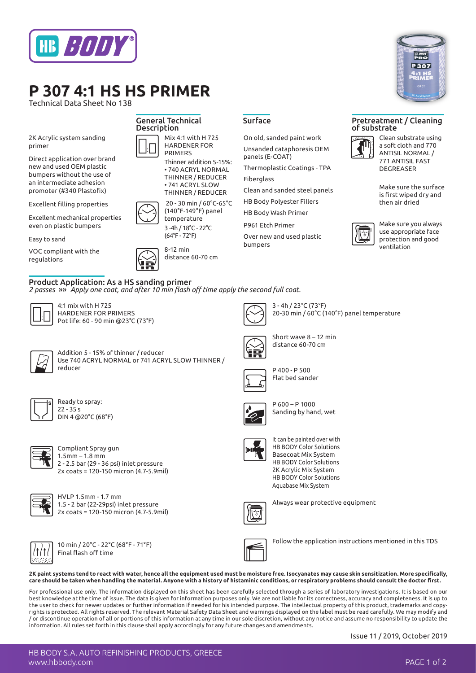

# **P 307 4:1 HS HS PRIMER**

Technical Data Sheet No 138

2K Acrylic system sanding primer

Direct application over brand new and used OEM plastic bumpers without the use of an intermediate adhesion promoter (#340 Plastofix)

Excellent filling properties

Excellent mechanical properties even on plastic bumpers

Easy to sand

VOC compliant with the regulations



### Product Application: As a HS sanding primer

*2 passes* »» *Apply one coat, and after 10 min flash off time apply the second full coat.*



4:1 mix with H 725 HARDENER FOR PRIMERS Pot life: 60 - 90 min @23°C (73°F)

Ready to spray:  $22 - 355$ 

DIN 4 @20°C (68°F)

Compliant Spray gun 1.5mm – 1.8 mm

HVLP 1.5mm - 1.7 mm

Final flash off time

2 - 2.5 bar (29 - 36 psi) inlet pressure 2x coats = 120-150 micron (4.7-5.9mil)

1.5 - 2 bar (22-29psi) inlet pressure 2x coats = 120-150 micron (4.7-5.9mil)

10 min / 20°C - 22°C (68°F - 71°F)



3 - 4h / 23°C (73°F) 20-30 min / 60°C (140°F) panel temperature



Addition 5 - 15% of thinner / reducer Use 740 ACRYL NORMAL or 741 ACRYL SLOW THINNER / reducer



P 400 - P 500 Flat bed sander

On old, sanded paint work Unsanded cataphoresis OEM

Thermoplastic Coatings - TPA

Clean and sanded steel panels HB Body Polyester Fillers HB Body Wash Primer P961 Etch Primer

Over new and used plastic

panels (E-COAT)

Fiberglass

bumpers



P 600 – P 1000 Sanding by hand, wet

Short wave 8 – 12 min distance 60-70 cm



It can be painted over with HB BODY Color Solutions Basecoat Mix System HB BODY Color Solutions 2K Acrylic Mix System HB BODY Color Solutions Aquabase Mix System



Always wear protective equipment





Follow the application instructions mentioned in this TDS

**2K paint systems tend to react with water, hence all the equipment used must be moisture free. Isocyanates may cause skin sensitization. More specifically, care should be taken when handling the material. Anyone with a history of histaminic conditions, or respiratory problems should consult the doctor first.** 

For professional use only. The information displayed on this sheet has been carefully selected through a series of laboratory investigations. It is based on our best knowledge at the time of issue. The data is given for information purposes only. We are not liable for its correctness, accuracy and completeness. It is up to the user to check for newer updates or further information if needed for his intended purpose. The intellectual property of this product, trademarks and copyrights is protected. All rights reserved. The relevant Material Safety Data Sheet and warnings displayed on the label must be read carefully. We may modify and / or discontinue operation of all or portions of this information at any time in our sole discretion, without any notice and assume no responsibility to update the information. All rules set forth in this clause shall apply accordingly for any future changes and amendments.

Issue 11 / 2019, October 2019



### Surface Pretreatment / Cleaning of substrate



Clean substrate using a soft cloth and 770 ANTISIL NORMAL / 771 ANTISIL FAST DEGREASER

Make sure the surface is first wiped dry and then air dried



Make sure you always use appropriate face protection and good ventilation

HB BODY S.A. AUTO REFINISHING PRODUCTS, GREECE www.hbbody.com PAGE 1 of 2



General Technical **Description** 



Mix 4:1 with H 725 HARDENER FOR PRIMERS

Thinner addition 5-15%: • 740 ACRYL NORMAL THINNER / REDUCER